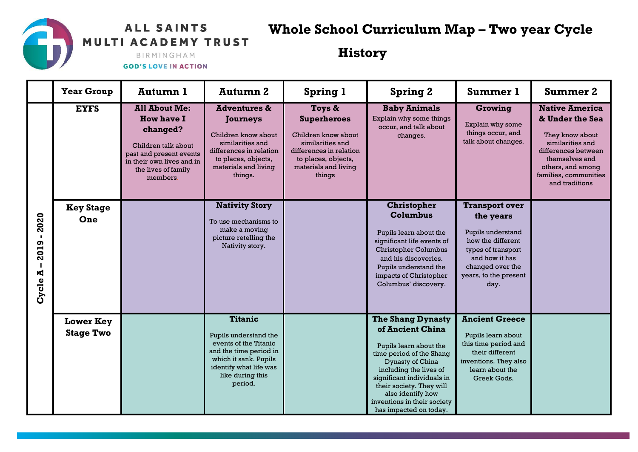## **ALL SAINTS** MULTI ACADEMY TRUST

## **Whole School Curriculum Map – Two year Cycle**

**History**

BIRMINGHAM **GOD'S LOVE IN ACTION** 

|              | <b>Year Group</b> | Autumn 1                                                                                                                                                                | Autumn 2                                                                                                                                                                   | <b>Spring 1</b>                                                                                                                                             | <b>Spring 2</b>                                                                     | <b>Summer 1</b>                                                         | <b>Summer 2</b>                                                                                                                                                                          |
|--------------|-------------------|-------------------------------------------------------------------------------------------------------------------------------------------------------------------------|----------------------------------------------------------------------------------------------------------------------------------------------------------------------------|-------------------------------------------------------------------------------------------------------------------------------------------------------------|-------------------------------------------------------------------------------------|-------------------------------------------------------------------------|------------------------------------------------------------------------------------------------------------------------------------------------------------------------------------------|
|              | <b>EYFS</b>       | <b>All About Me:</b><br><b>How have I</b><br>changed?<br>Children talk about<br>past and present events<br>in their own lives and in<br>the lives of family<br>members. | <b>Adventures &amp;</b><br><b>Journeys</b><br>Children know about<br>similarities and<br>differences in relation<br>to places, objects,<br>materials and living<br>things. | Toys &<br><b>Superheroes</b><br>Children know about<br>similarities and<br>differences in relation<br>to places, objects,<br>materials and living<br>things | <b>Baby Animals</b><br>Explain why some things<br>occur, and talk about<br>changes. | Growing<br>Explain why some<br>things occur, and<br>talk about changes. | <b>Native America</b><br>& Under the Sea<br>They know about<br>similarities and<br>differences between<br>themselves and<br>others, and among<br>families, communities<br>and traditions |
|              | <b>Key Stage</b>  |                                                                                                                                                                         | <b>Nativity Story</b>                                                                                                                                                      |                                                                                                                                                             | <b>Christopher</b>                                                                  | <b>Transport over</b>                                                   |                                                                                                                                                                                          |
| 2020         | One               |                                                                                                                                                                         | To use mechanisms to                                                                                                                                                       |                                                                                                                                                             | <b>Columbus</b>                                                                     | the years                                                               |                                                                                                                                                                                          |
| $\mathbf{I}$ |                   |                                                                                                                                                                         | make a moving                                                                                                                                                              |                                                                                                                                                             | Pupils learn about the                                                              | Pupils understand                                                       |                                                                                                                                                                                          |
|              |                   |                                                                                                                                                                         | picture retelling the<br>Nativity story.                                                                                                                                   |                                                                                                                                                             | significant life events of                                                          | how the different                                                       |                                                                                                                                                                                          |
| 2019         |                   |                                                                                                                                                                         |                                                                                                                                                                            |                                                                                                                                                             | <b>Christopher Columbus</b>                                                         | types of transport                                                      |                                                                                                                                                                                          |
|              |                   |                                                                                                                                                                         |                                                                                                                                                                            |                                                                                                                                                             | and his discoveries.                                                                | and how it has                                                          |                                                                                                                                                                                          |
| К            |                   |                                                                                                                                                                         |                                                                                                                                                                            |                                                                                                                                                             | Pupils understand the                                                               | changed over the                                                        |                                                                                                                                                                                          |
|              |                   |                                                                                                                                                                         |                                                                                                                                                                            |                                                                                                                                                             | impacts of Christopher                                                              | years, to the present                                                   |                                                                                                                                                                                          |
| Cycle.       |                   |                                                                                                                                                                         |                                                                                                                                                                            |                                                                                                                                                             | Columbus' discovery.                                                                | day.                                                                    |                                                                                                                                                                                          |
|              | <b>Lower Key</b>  |                                                                                                                                                                         | <b>Titanic</b>                                                                                                                                                             |                                                                                                                                                             | <b>The Shang Dynasty</b>                                                            | <b>Ancient Greece</b>                                                   |                                                                                                                                                                                          |
|              |                   |                                                                                                                                                                         |                                                                                                                                                                            |                                                                                                                                                             | of Ancient China                                                                    |                                                                         |                                                                                                                                                                                          |
|              | <b>Stage Two</b>  |                                                                                                                                                                         | Pupils understand the                                                                                                                                                      |                                                                                                                                                             |                                                                                     | Pupils learn about                                                      |                                                                                                                                                                                          |
|              |                   |                                                                                                                                                                         | events of the Titanic                                                                                                                                                      |                                                                                                                                                             | Pupils learn about the                                                              | this time period and                                                    |                                                                                                                                                                                          |
|              |                   |                                                                                                                                                                         | and the time period in<br>which it sank. Pupils                                                                                                                            |                                                                                                                                                             | time period of the Shang                                                            | their different                                                         |                                                                                                                                                                                          |
|              |                   |                                                                                                                                                                         | identify what life was                                                                                                                                                     |                                                                                                                                                             | Dynasty of China                                                                    | inventions. They also                                                   |                                                                                                                                                                                          |
|              |                   |                                                                                                                                                                         | like during this                                                                                                                                                           |                                                                                                                                                             | including the lives of<br>significant individuals in                                | learn about the<br>Greek Gods.                                          |                                                                                                                                                                                          |
|              |                   |                                                                                                                                                                         | period.                                                                                                                                                                    |                                                                                                                                                             | their society. They will                                                            |                                                                         |                                                                                                                                                                                          |
|              |                   |                                                                                                                                                                         |                                                                                                                                                                            |                                                                                                                                                             | also identify how                                                                   |                                                                         |                                                                                                                                                                                          |
|              |                   |                                                                                                                                                                         |                                                                                                                                                                            |                                                                                                                                                             | inventions in their society                                                         |                                                                         |                                                                                                                                                                                          |
|              |                   |                                                                                                                                                                         |                                                                                                                                                                            |                                                                                                                                                             | has impacted on today.                                                              |                                                                         |                                                                                                                                                                                          |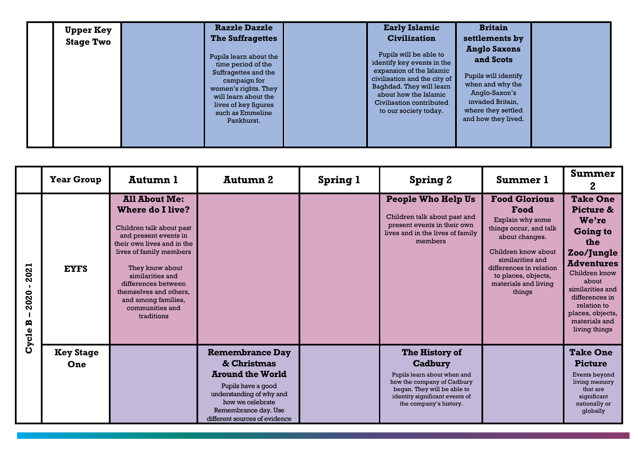| <b>Upper Key</b><br><b>Stage Two</b> | <b>Razzle Dazzle</b><br><b>The Suffragettes</b>                                                                                                                                                | <b>Early Islamic</b><br><b>Civilization</b>                                                                                                                                                                                | <b>Britain</b><br>settlements by                                                                                                                               |  |
|--------------------------------------|------------------------------------------------------------------------------------------------------------------------------------------------------------------------------------------------|----------------------------------------------------------------------------------------------------------------------------------------------------------------------------------------------------------------------------|----------------------------------------------------------------------------------------------------------------------------------------------------------------|--|
|                                      | Pupils learn about the<br>time period of the<br>Suffragettes and the<br>campaign for<br>women's rights. They<br>will learn about the<br>lives of key figures<br>such as Emmeline<br>Pankhurst. | Pupils will be able to<br>identify key events in the<br>expansion of the Islamic<br>civilisation and the city of<br>Baghdad. They will learn<br>about how the Islamic<br>Civilisation contributed<br>to our society today. | <b>Anglo Saxons</b><br>and Scots<br>Pupils will identify<br>when and why the<br>Anglo-Saxon's<br>invaded Britain,<br>where they settled<br>and how they lived. |  |

|                                | <b>Year Group</b>       | Autumn 1                                                                                                                                                                                                                                                                                                      | Autumn 2                                                                                                                                                                                        | <b>Spring 1</b> | <b>Spring 2</b>                                                                                                                                                                   | <b>Summer 1</b>                                                                                                                                                                                                             | <b>Summer</b><br>2                                                                                                                                                                                                                      |
|--------------------------------|-------------------------|---------------------------------------------------------------------------------------------------------------------------------------------------------------------------------------------------------------------------------------------------------------------------------------------------------------|-------------------------------------------------------------------------------------------------------------------------------------------------------------------------------------------------|-----------------|-----------------------------------------------------------------------------------------------------------------------------------------------------------------------------------|-----------------------------------------------------------------------------------------------------------------------------------------------------------------------------------------------------------------------------|-----------------------------------------------------------------------------------------------------------------------------------------------------------------------------------------------------------------------------------------|
| 2021<br>020<br>N<br>B<br>Cycle | <b>EYFS</b>             | <b>All About Me:</b><br><b>Where do I live?</b><br>Children talk about past<br>and present events in<br>their own lives and in the<br>lives of family members<br>They know about<br>similarities and<br>differences between<br>themselves and others,<br>and among families,<br>communities and<br>traditions |                                                                                                                                                                                                 |                 | <b>People Who Help Us</b><br>Children talk about past and<br>present events in their own<br>lives and in the lives of family<br>members                                           | <b>Food Glorious</b><br>Food<br>Explain why some<br>things occur, and talk<br>about changes.<br>Children know about<br>similarities and<br>differences in relation<br>to places, objects,<br>materials and living<br>things | <b>Take One</b><br>Picture &<br>We're<br><b>Going to</b><br>the<br>Zoo/Jungle<br><b>Adventures</b><br>Children know<br>about<br>similarities and<br>differences in<br>relation to<br>places, objects,<br>materials and<br>living things |
|                                | <b>Key Stage</b><br>One |                                                                                                                                                                                                                                                                                                               | <b>Remembrance Day</b><br>& Christmas<br><b>Around the World</b><br>Pupils have a good<br>understanding of why and<br>how we celebrate<br>Remembrance day. Use<br>different sources of evidence |                 | The History of<br>Cadbury<br>Pupils learn about when and<br>how the company of Cadbury<br>began. They will be able to<br>identity significant events of<br>the company's history. |                                                                                                                                                                                                                             | <b>Take One</b><br><b>Picture</b><br>Events beyond<br>living memory<br>that are<br>significant<br>nationally or<br>globally                                                                                                             |